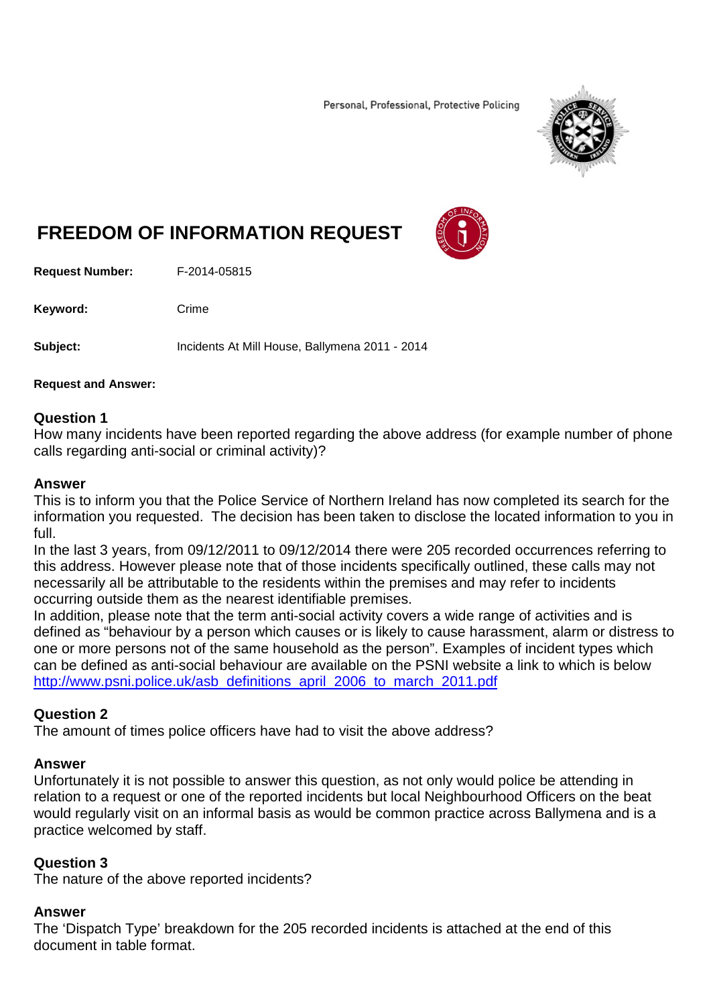Personal, Professional, Protective Policing



# **FREEDOM OF INFORMATION REQUEST**

**Request Number:** F-2014-05815

Keyword: Crime

**Subject:** Incidents At Mill House, Ballymena 2011 - 2014

#### **Request and Answer:**

### **Question 1**

How many incidents have been reported regarding the above address (for example number of phone calls regarding anti-social or criminal activity)?

#### **Answer**

This is to inform you that the Police Service of Northern Ireland has now completed its search for the information you requested. The decision has been taken to disclose the located information to you in full.

In the last 3 years, from 09/12/2011 to 09/12/2014 there were 205 recorded occurrences referring to this address. However please note that of those incidents specifically outlined, these calls may not necessarily all be attributable to the residents within the premises and may refer to incidents occurring outside them as the nearest identifiable premises.

In addition, please note that the term anti-social activity covers a wide range of activities and is defined as "behaviour by a person which causes or is likely to cause harassment, alarm or distress to one or more persons not of the same household as the person". Examples of incident types which can be defined as anti-social behaviour are available on the PSNI website a link to which is below [http://www.psni.police.uk/asb\\_definitions\\_april\\_2006\\_to\\_march\\_2011.pdf](http://www.psni.police.uk/asb_definitions_april_2006_to_march_2011.pdf)

### **Question 2**

The amount of times police officers have had to visit the above address?

# **Answer**

Unfortunately it is not possible to answer this question, as not only would police be attending in relation to a request or one of the reported incidents but local Neighbourhood Officers on the beat would regularly visit on an informal basis as would be common practice across Ballymena and is a practice welcomed by staff.

# **Question 3**

The nature of the above reported incidents?

# **Answer**

The 'Dispatch Type' breakdown for the 205 recorded incidents is attached at the end of this document in table format.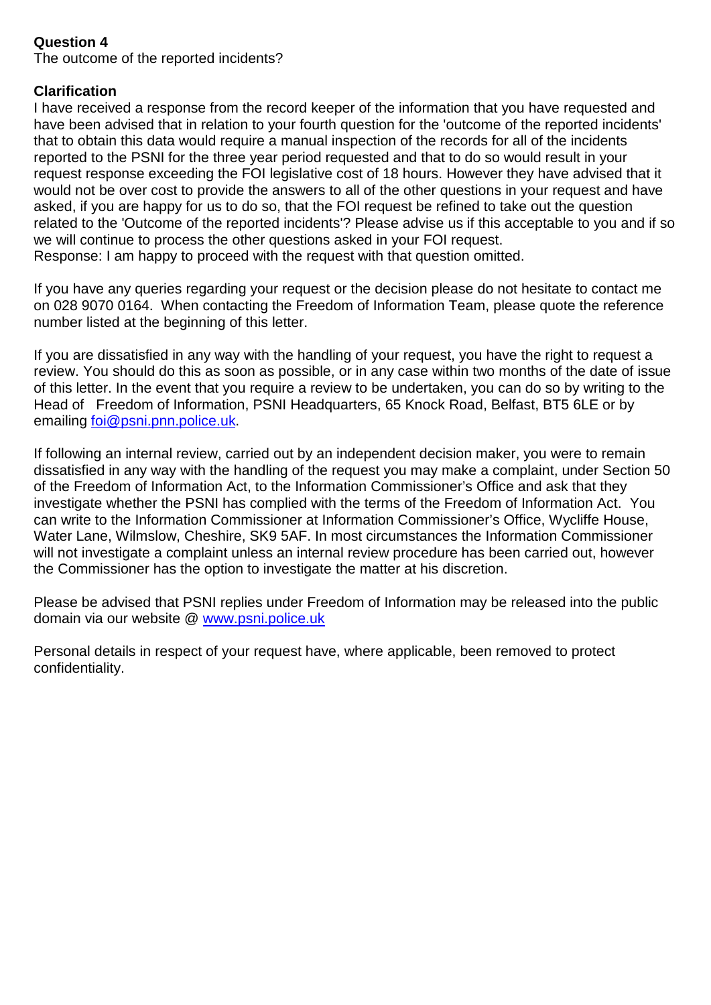## **Question 4**

The outcome of the reported incidents?

## **Clarification**

I have received a response from the record keeper of the information that you have requested and have been advised that in relation to your fourth question for the 'outcome of the reported incidents' that to obtain this data would require a manual inspection of the records for all of the incidents reported to the PSNI for the three year period requested and that to do so would result in your request response exceeding the FOI legislative cost of 18 hours. However they have advised that it would not be over cost to provide the answers to all of the other questions in your request and have asked, if you are happy for us to do so, that the FOI request be refined to take out the question related to the 'Outcome of the reported incidents'? Please advise us if this acceptable to you and if so we will continue to process the other questions asked in your FOI request. Response: I am happy to proceed with the request with that question omitted.

If you have any queries regarding your request or the decision please do not hesitate to contact me on 028 9070 0164. When contacting the Freedom of Information Team, please quote the reference number listed at the beginning of this letter.

If you are dissatisfied in any way with the handling of your request, you have the right to request a review. You should do this as soon as possible, or in any case within two months of the date of issue of this letter. In the event that you require a review to be undertaken, you can do so by writing to the Head of Freedom of Information, PSNI Headquarters, 65 Knock Road, Belfast, BT5 6LE or by emailing [foi@psni.pnn.police.uk.](mailto:foi@psni.pnn.police.uk)

If following an internal review, carried out by an independent decision maker, you were to remain dissatisfied in any way with the handling of the request you may make a complaint, under Section 50 of the Freedom of Information Act, to the Information Commissioner's Office and ask that they investigate whether the PSNI has complied with the terms of the Freedom of Information Act. You can write to the Information Commissioner at Information Commissioner's Office, Wycliffe House, Water Lane, Wilmslow, Cheshire, SK9 5AF. In most circumstances the Information Commissioner will not investigate a complaint unless an internal review procedure has been carried out, however the Commissioner has the option to investigate the matter at his discretion.

Please be advised that PSNI replies under Freedom of Information may be released into the public domain via our website @ [www.psni.police.uk](http://www.psni.police.uk/)

Personal details in respect of your request have, where applicable, been removed to protect confidentiality.